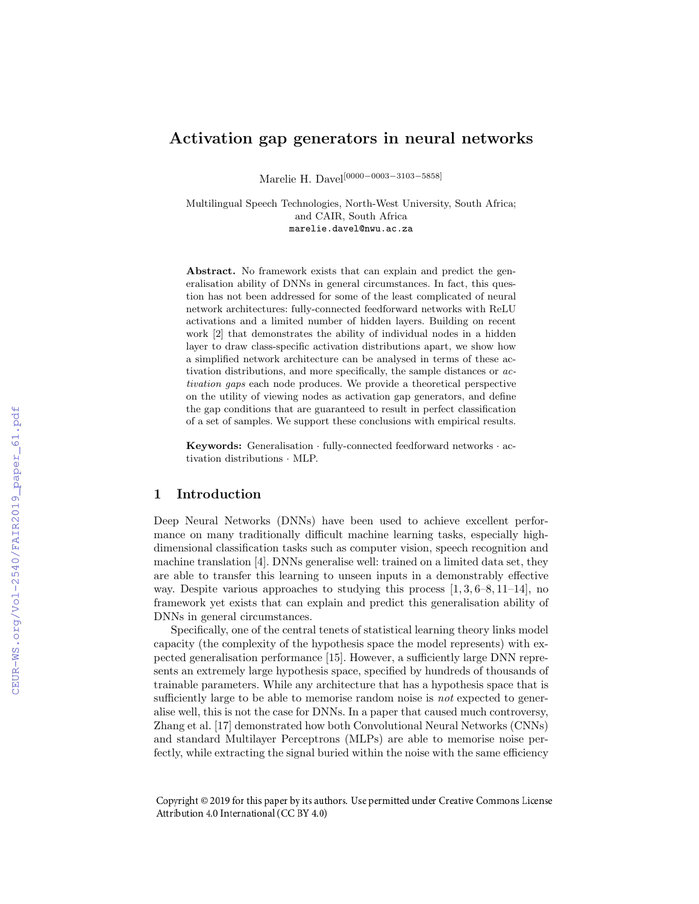# Activation gap generators in neural networks

Marelie H. Davel[0000−0003−3103−5858]

Multilingual Speech Technologies, North-West University, South Africa; and CAIR, South Africa marelie.davel@nwu.ac.za

Abstract. No framework exists that can explain and predict the generalisation ability of DNNs in general circumstances. In fact, this question has not been addressed for some of the least complicated of neural network architectures: fully-connected feedforward networks with ReLU activations and a limited number of hidden layers. Building on recent work [2] that demonstrates the ability of individual nodes in a hidden layer to draw class-specific activation distributions apart, we show how a simplified network architecture can be analysed in terms of these activation distributions, and more specifically, the sample distances or activation gaps each node produces. We provide a theoretical perspective on the utility of viewing nodes as activation gap generators, and define the gap conditions that are guaranteed to result in perfect classification of a set of samples. We support these conclusions with empirical results.

Keywords: Generalisation · fully-connected feedforward networks · activation distributions · MLP.

## 1 Introduction

Deep Neural Networks (DNNs) have been used to achieve excellent performance on many traditionally difficult machine learning tasks, especially highdimensional classification tasks such as computer vision, speech recognition and machine translation [4]. DNNs generalise well: trained on a limited data set, they are able to transfer this learning to unseen inputs in a demonstrably effective way. Despite various approaches to studying this process  $[1, 3, 6-8, 11-14]$ , no framework yet exists that can explain and predict this generalisation ability of DNNs in general circumstances.

Specifically, one of the central tenets of statistical learning theory links model capacity (the complexity of the hypothesis space the model represents) with expected generalisation performance [15]. However, a sufficiently large DNN represents an extremely large hypothesis space, specified by hundreds of thousands of trainable parameters. While any architecture that has a hypothesis space that is sufficiently large to be able to memorise random noise is *not* expected to generalise well, this is not the case for DNNs. In a paper that caused much controversy, Zhang et al. [17] demonstrated how both Convolutional Neural Networks (CNNs) and standard Multilayer Perceptrons (MLPs) are able to memorise noise perfectly, while extracting the signal buried within the noise with the same efficiency

Copyright © 2019 for this paper by its authors. Use permitted under Creative Commons License Attribution 4.0 International (CC BY 4.0)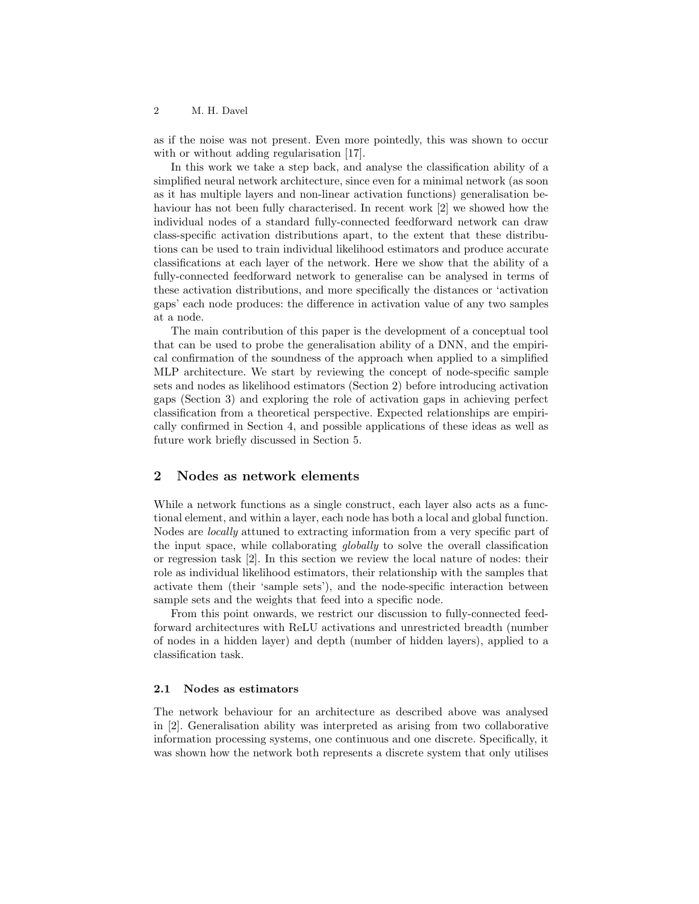as if the noise was not present. Even more pointedly, this was shown to occur with or without adding regularisation [17].

In this work we take a step back, and analyse the classification ability of a simplified neural network architecture, since even for a minimal network (as soon as it has multiple layers and non-linear activation functions) generalisation behaviour has not been fully characterised. In recent work [2] we showed how the individual nodes of a standard fully-connected feedforward network can draw class-specific activation distributions apart, to the extent that these distributions can be used to train individual likelihood estimators and produce accurate classifications at each layer of the network. Here we show that the ability of a fully-connected feedforward network to generalise can be analysed in terms of these activation distributions, and more specifically the distances or 'activation gaps' each node produces: the difference in activation value of any two samples at a node.

The main contribution of this paper is the development of a conceptual tool that can be used to probe the generalisation ability of a DNN, and the empirical confirmation of the soundness of the approach when applied to a simplified MLP architecture. We start by reviewing the concept of node-specific sample sets and nodes as likelihood estimators (Section 2) before introducing activation gaps (Section 3) and exploring the role of activation gaps in achieving perfect classification from a theoretical perspective. Expected relationships are empirically confirmed in Section 4, and possible applications of these ideas as well as future work briefly discussed in Section 5.

### 2 Nodes as network elements

While a network functions as a single construct, each layer also acts as a functional element, and within a layer, each node has both a local and global function. Nodes are locally attuned to extracting information from a very specific part of the input space, while collaborating globally to solve the overall classification or regression task [2]. In this section we review the local nature of nodes: their role as individual likelihood estimators, their relationship with the samples that activate them (their 'sample sets'), and the node-specific interaction between sample sets and the weights that feed into a specific node.

From this point onwards, we restrict our discussion to fully-connected feedforward architectures with ReLU activations and unrestricted breadth (number of nodes in a hidden layer) and depth (number of hidden layers), applied to a classification task.

#### 2.1 Nodes as estimators

The network behaviour for an architecture as described above was analysed in [2]. Generalisation ability was interpreted as arising from two collaborative information processing systems, one continuous and one discrete. Specifically, it was shown how the network both represents a discrete system that only utilises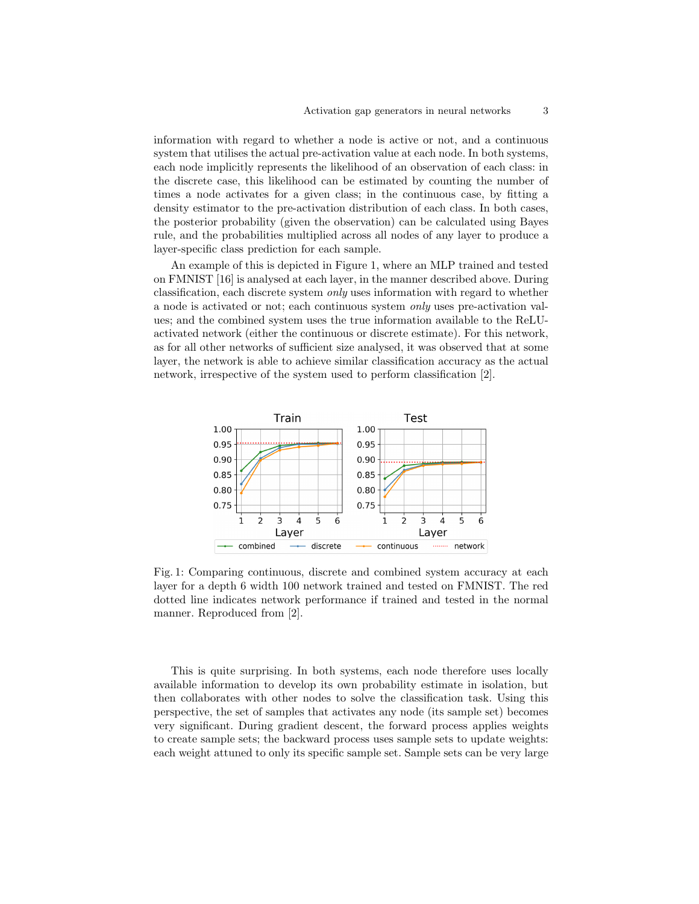information with regard to whether a node is active or not, and a continuous system that utilises the actual pre-activation value at each node. In both systems, each node implicitly represents the likelihood of an observation of each class: in the discrete case, this likelihood can be estimated by counting the number of times a node activates for a given class; in the continuous case, by fitting a density estimator to the pre-activation distribution of each class. In both cases, the posterior probability (given the observation) can be calculated using Bayes rule, and the probabilities multiplied across all nodes of any layer to produce a layer-specific class prediction for each sample.

An example of this is depicted in Figure 1, where an MLP trained and tested on FMNIST [16] is analysed at each layer, in the manner described above. During classification, each discrete system only uses information with regard to whether a node is activated or not; each continuous system only uses pre-activation values; and the combined system uses the true information available to the ReLUactivated network (either the continuous or discrete estimate). For this network, as for all other networks of sufficient size analysed, it was observed that at some layer, the network is able to achieve similar classification accuracy as the actual network, irrespective of the system used to perform classification [2].



Fig. 1: Comparing continuous, discrete and combined system accuracy at each layer for a depth 6 width 100 network trained and tested on FMNIST. The red dotted line indicates network performance if trained and tested in the normal manner. Reproduced from [2].

This is quite surprising. In both systems, each node therefore uses locally available information to develop its own probability estimate in isolation, but then collaborates with other nodes to solve the classification task. Using this perspective, the set of samples that activates any node (its sample set) becomes very significant. During gradient descent, the forward process applies weights to create sample sets; the backward process uses sample sets to update weights: each weight attuned to only its specific sample set. Sample sets can be very large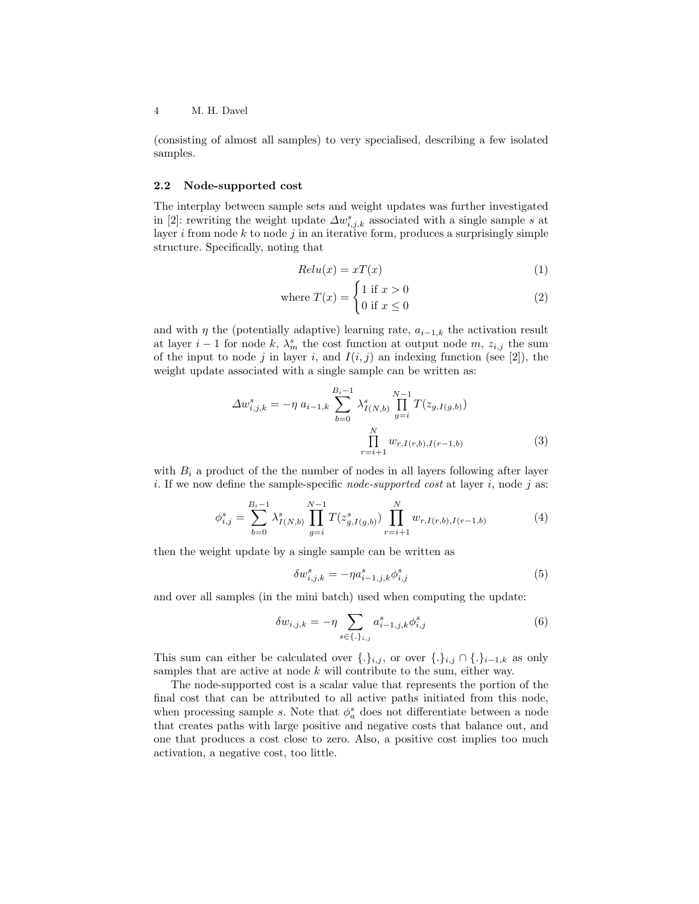(consisting of almost all samples) to very specialised, describing a few isolated samples.

#### 2.2 Node-supported cost

The interplay between sample sets and weight updates was further investigated in [2]: rewriting the weight update  $\Delta w_{i,j,k}^s$  associated with a single sample s at layer i from node  $k$  to node j in an iterative form, produces a surprisingly simple structure. Specifically, noting that

$$
Relu(x) = xT(x) \tag{1}
$$

where 
$$
T(x) = \begin{cases} 1 & \text{if } x > 0 \\ 0 & \text{if } x \le 0 \end{cases}
$$
 (2)

and with  $\eta$  the (potentially adaptive) learning rate,  $a_{i-1,k}$  the activation result at layer  $i-1$  for node k,  $\lambda_m^s$  the cost function at output node m,  $z_{i,j}$  the sum of the input to node j in layer i, and  $I(i, j)$  an indexing function (see [2]), the weight update associated with a single sample can be written as:

$$
\Delta w_{i,j,k}^{s} = -\eta \ a_{i-1,k} \sum_{b=0}^{B_i-1} \lambda_{I(N,b)}^{s} \prod_{g=i}^{N-1} T(z_{g,I(g,b)})
$$
\n
$$
\prod_{r=i+1}^{N} w_{r,I(r,b),I(r-1,b)}
$$
\n(3)

with  $B_i$  a product of the the number of nodes in all layers following after layer i. If we now define the sample-specific *node-supported cost* at layer i, node j as:

$$
\phi_{i,j}^s = \sum_{b=0}^{B_i - 1} \lambda_{I(N,b)}^s \prod_{g=i}^{N-1} T(z_{g,I(g,b)}^s) \prod_{r=i+1}^N w_{r,I(r,b),I(r-1,b)} \tag{4}
$$

then the weight update by a single sample can be written as

$$
\delta w_{i,j,k}^s = -\eta a_{i-1,j,k}^s \phi_{i,j}^s \tag{5}
$$

and over all samples (in the mini batch) used when computing the update:

$$
\delta w_{i,j,k} = -\eta \sum_{s \in \{\cdot\}_{i,j}} a_{i-1,j,k}^s \phi_{i,j}^s \tag{6}
$$

This sum can either be calculated over  $\{.\}_{i,j}$ , or over  $\{.\}_{i,j} \cap \{.\}_{i-1,k}$  as only samples that are active at node  $k$  will contribute to the sum, either way.

The node-supported cost is a scalar value that represents the portion of the final cost that can be attributed to all active paths initiated from this node, when processing sample s. Note that  $\phi_a^s$  does not differentiate between a node that creates paths with large positive and negative costs that balance out, and one that produces a cost close to zero. Also, a positive cost implies too much activation, a negative cost, too little.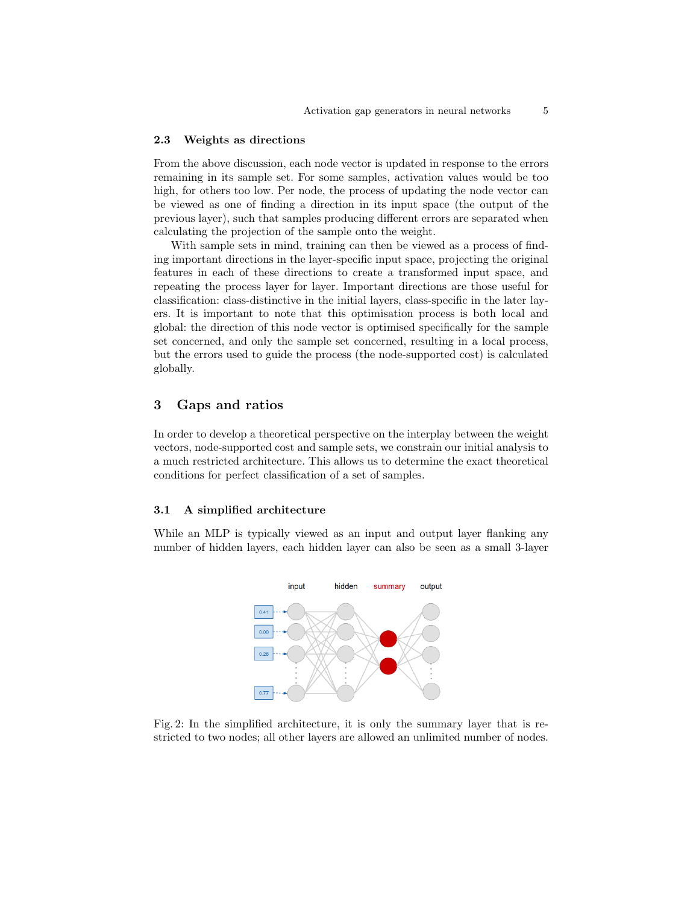#### 2.3 Weights as directions

From the above discussion, each node vector is updated in response to the errors remaining in its sample set. For some samples, activation values would be too high, for others too low. Per node, the process of updating the node vector can be viewed as one of finding a direction in its input space (the output of the previous layer), such that samples producing different errors are separated when calculating the projection of the sample onto the weight.

With sample sets in mind, training can then be viewed as a process of finding important directions in the layer-specific input space, projecting the original features in each of these directions to create a transformed input space, and repeating the process layer for layer. Important directions are those useful for classification: class-distinctive in the initial layers, class-specific in the later layers. It is important to note that this optimisation process is both local and global: the direction of this node vector is optimised specifically for the sample set concerned, and only the sample set concerned, resulting in a local process, but the errors used to guide the process (the node-supported cost) is calculated globally.

## 3 Gaps and ratios

In order to develop a theoretical perspective on the interplay between the weight vectors, node-supported cost and sample sets, we constrain our initial analysis to a much restricted architecture. This allows us to determine the exact theoretical conditions for perfect classification of a set of samples.

#### 3.1 A simplified architecture

While an MLP is typically viewed as an input and output layer flanking any number of hidden layers, each hidden layer can also be seen as a small 3-layer



Fig. 2: In the simplified architecture, it is only the summary layer that is restricted to two nodes; all other layers are allowed an unlimited number of nodes.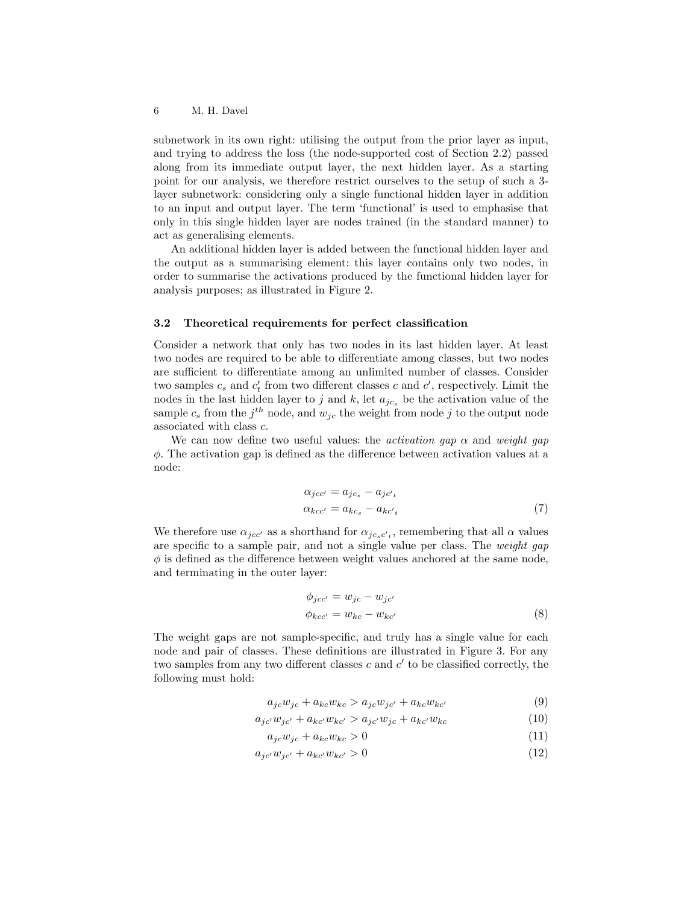subnetwork in its own right: utilising the output from the prior layer as input, and trying to address the loss (the node-supported cost of Section 2.2) passed along from its immediate output layer, the next hidden layer. As a starting point for our analysis, we therefore restrict ourselves to the setup of such a 3 layer subnetwork: considering only a single functional hidden layer in addition to an input and output layer. The term 'functional' is used to emphasise that only in this single hidden layer are nodes trained (in the standard manner) to act as generalising elements.

An additional hidden layer is added between the functional hidden layer and the output as a summarising element: this layer contains only two nodes, in order to summarise the activations produced by the functional hidden layer for analysis purposes; as illustrated in Figure 2.

#### 3.2 Theoretical requirements for perfect classification

Consider a network that only has two nodes in its last hidden layer. At least two nodes are required to be able to differentiate among classes, but two nodes are sufficient to differentiate among an unlimited number of classes. Consider two samples  $c_s$  and  $c'_t$  from two different classes c and  $c'$ , respectively. Limit the nodes in the last hidden layer to j and k, let  $a_{jc_s}$  be the activation value of the sample  $c_s$  from the j<sup>th</sup> node, and  $w_{jc}$  the weight from node j to the output node associated with class c.

We can now define two useful values: the *activation gap*  $\alpha$  and *weight gap*  $\phi$ . The activation gap is defined as the difference between activation values at a node:

$$
\alpha_{jcc'} = a_{jc_s} - a_{jc'_t}
$$
  
\n
$$
\alpha_{kcc'} = a_{kc_s} - a_{kc'_t}
$$
\n(7)

We therefore use  $\alpha_{jcc'}$  as a shorthand for  $\alpha_{j c_s c'_{t}}$ , remembering that all  $\alpha$  values are specific to a sample pair, and not a single value per class. The weight gap  $\phi$  is defined as the difference between weight values anchored at the same node, and terminating in the outer layer:

$$
\phi_{jcc'} = w_{jc} - w_{jc'}
$$
  
\n
$$
\phi_{kcc'} = w_{kc} - w_{kc'}
$$
\n(8)

The weight gaps are not sample-specific, and truly has a single value for each node and pair of classes. These definitions are illustrated in Figure 3. For any two samples from any two different classes  $c$  and  $c'$  to be classified correctly, the following must hold:

$$
a_{jc}w_{jc} + a_{kc}w_{kc} > a_{jc}w_{jc'} + a_{kc}w_{kc'}
$$
\n
$$
(9)
$$

$$
a_{jc'}w_{jc'} + a_{kc'}w_{kc'} > a_{jc'}w_{jc} + a_{kc'}w_{kc}
$$
\n(10)

$$
a_{jc}w_{jc} + a_{kc}w_{kc} > 0
$$
\n<sup>(11)</sup>

$$
a_{jc'}w_{jc'} + a_{kc'}w_{kc'} > 0
$$
\n(12)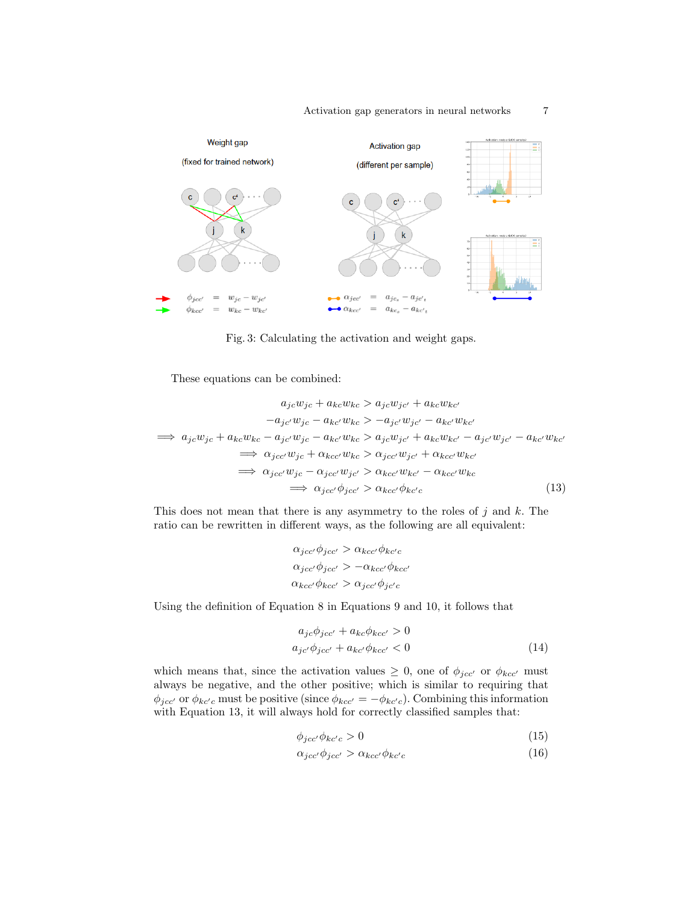$\overline{7}$ 



Fig. 3: Calculating the activation and weight gaps.

These equations can be combined:

$$
a_{jc}w_{jc} + a_{kc}w_{kc} > a_{jc}w_{jc'} + a_{kc}w_{kc'}
$$
  
\n
$$
-a_{jc'}w_{jc} - a_{kc'}w_{kc} > -a_{jc'}w_{jc'} - a_{kc'}w_{kc'}
$$
  
\n
$$
\implies a_{jc}w_{jc} + a_{kc}w_{kc} - a_{jc'}w_{jc} - a_{kc'}w_{kc} > a_{jc}w_{jc'} + a_{kc}w_{kc'} - a_{jc'}w_{jc'} - a_{kc'}w_{kc'}
$$
  
\n
$$
\implies \alpha_{jc'c'}w_{jc} + \alpha_{kc'w_{kc'}} > \alpha_{jc'c'}w_{jc'} + \alpha_{kc'w_{kc'}}
$$
  
\n
$$
\implies \alpha_{jc'c'}w_{jc'} > \alpha_{kc'}\phi_{kc'c}
$$
  
\n
$$
\implies \alpha_{jc'c'}\phi_{jc'c'} > \alpha_{kc'}\phi_{kc'c}
$$
  
\n(13)

This does not mean that there is any asymmetry to the roles of  $j$  and  $k$ . The ratio can be rewritten in different ways, as the following are all equivalent:

$$
\alpha_{jcc'}\phi_{jcc'} > \alpha_{kcc'}\phi_{kc'}
$$

$$
\alpha_{jcc'}\phi_{jcc'} > -\alpha_{kcc'}\phi_{kcc'}
$$

$$
\alpha_{kcc'}\phi_{kcc'} > \alpha_{jcc'}\phi_{jc'c}
$$

Using the definition of Equation 8 in Equations 9 and 10, it follows that

$$
a_{jc}\phi_{jcc'} + a_{kc}\phi_{kcc'} > 0
$$
  
\n
$$
a_{jc'}\phi_{jcc'} + a_{kc'}\phi_{kcc'} < 0
$$
\n(14)

which means that, since the activation values  $\geq 0$ , one of  $\phi_{jcc'}$  or  $\phi_{kcc'}$  must always be negative, and the other positive; which is similar to requiring that  $\phi_{jcc'}$  or  $\phi_{kc'c}$  must be positive (since  $\phi_{kcc'} = -\phi_{kc'c}$ ). Combining this information with Equation 13, it will always hold for correctly classified samples that:

$$
\phi_{jcc'}\phi_{kc'c} > 0\tag{15}
$$

$$
\alpha_{jcc'}\phi_{jcc'} > \alpha_{kcc'}\phi_{kc'c} \tag{16}
$$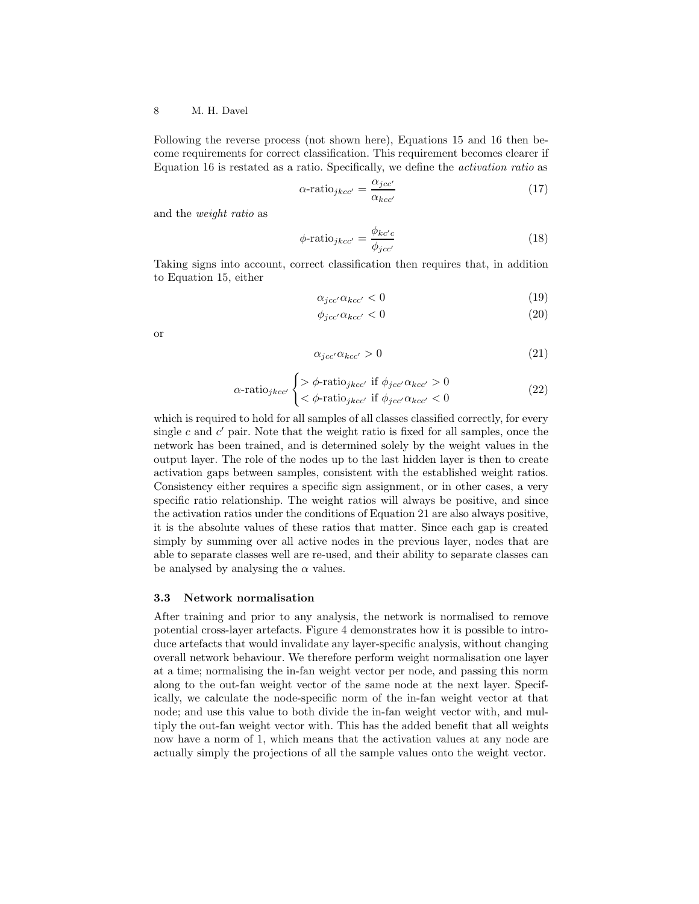Following the reverse process (not shown here), Equations 15 and 16 then become requirements for correct classification. This requirement becomes clearer if Equation 16 is restated as a ratio. Specifically, we define the activation ratio as

$$
\alpha\text{-ratio}_{jkcc'} = \frac{\alpha_{jcc'}}{\alpha_{kcc'}}\tag{17}
$$

and the weight ratio as

$$
\phi\text{-ratio}_{jkcc'} = \frac{\phi_{kc'c}}{\phi_{jcc'}}\tag{18}
$$

Taking signs into account, correct classification then requires that, in addition to Equation 15, either

$$
\alpha_{jcc'}\alpha_{kcc'} < 0\tag{19}
$$

$$
\phi_{jcc'}\alpha_{kcc'} < 0\tag{20}
$$

or

$$
\alpha_{jcc'}\alpha_{kcc'} > 0\tag{21}
$$

$$
\alpha\text{-ratio}_{jkcc'} \begin{cases} > \phi\text{-ratio}_{jkcc'} \text{ if } \phi_{jcc'}\alpha_{kcc'} > 0\\ < \phi\text{-ratio}_{jkcc'} \text{ if } \phi_{jcc'}\alpha_{kcc'} < 0 \end{cases} \tag{22}
$$

which is required to hold for all samples of all classes classified correctly, for every single  $c$  and  $c'$  pair. Note that the weight ratio is fixed for all samples, once the network has been trained, and is determined solely by the weight values in the output layer. The role of the nodes up to the last hidden layer is then to create activation gaps between samples, consistent with the established weight ratios. Consistency either requires a specific sign assignment, or in other cases, a very specific ratio relationship. The weight ratios will always be positive, and since the activation ratios under the conditions of Equation 21 are also always positive, it is the absolute values of these ratios that matter. Since each gap is created simply by summing over all active nodes in the previous layer, nodes that are able to separate classes well are re-used, and their ability to separate classes can be analysed by analysing the  $\alpha$  values.

#### 3.3 Network normalisation

After training and prior to any analysis, the network is normalised to remove potential cross-layer artefacts. Figure 4 demonstrates how it is possible to introduce artefacts that would invalidate any layer-specific analysis, without changing overall network behaviour. We therefore perform weight normalisation one layer at a time; normalising the in-fan weight vector per node, and passing this norm along to the out-fan weight vector of the same node at the next layer. Specifically, we calculate the node-specific norm of the in-fan weight vector at that node; and use this value to both divide the in-fan weight vector with, and multiply the out-fan weight vector with. This has the added benefit that all weights now have a norm of 1, which means that the activation values at any node are actually simply the projections of all the sample values onto the weight vector.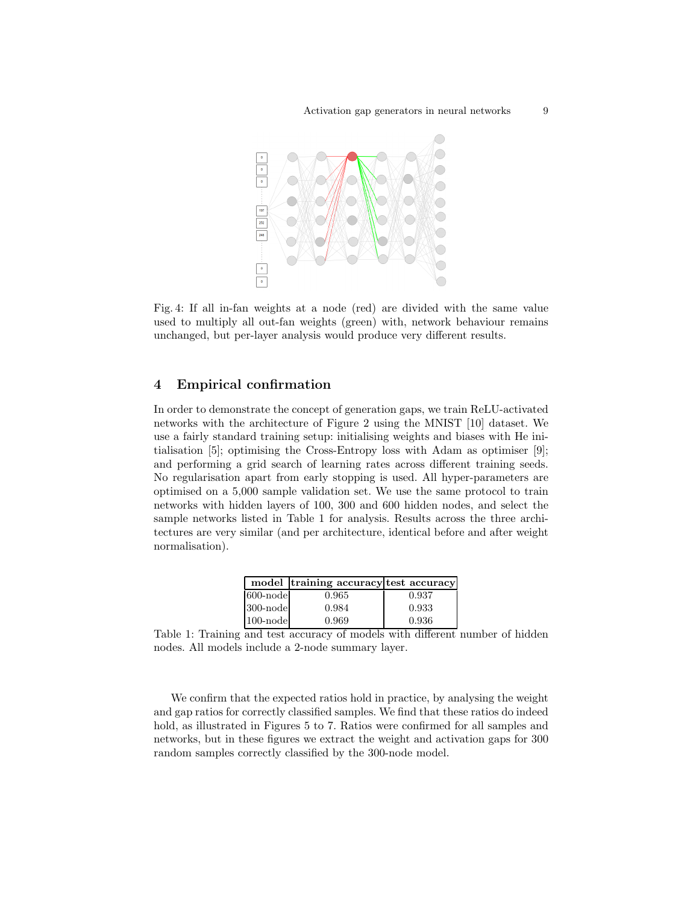

Fig. 4: If all in-fan weights at a node (red) are divided with the same value used to multiply all out-fan weights (green) with, network behaviour remains unchanged, but per-layer analysis would produce very different results.

## 4 Empirical confirmation

In order to demonstrate the concept of generation gaps, we train ReLU-activated networks with the architecture of Figure 2 using the MNIST [10] dataset. We use a fairly standard training setup: initialising weights and biases with He initialisation [5]; optimising the Cross-Entropy loss with Adam as optimiser [9]; and performing a grid search of learning rates across different training seeds. No regularisation apart from early stopping is used. All hyper-parameters are optimised on a 5,000 sample validation set. We use the same protocol to train networks with hidden layers of 100, 300 and 600 hidden nodes, and select the sample networks listed in Table 1 for analysis. Results across the three architectures are very similar (and per architecture, identical before and after weight normalisation).

|              | model training accuracy test accuracy |       |
|--------------|---------------------------------------|-------|
| 600-nodel    | 0.965                                 | 0.937 |
| $ 300$ -node | 0.984                                 | 0.933 |
| $ 100$ -node | 0.969                                 | 0.936 |

Table 1: Training and test accuracy of models with different number of hidden nodes. All models include a 2-node summary layer.

We confirm that the expected ratios hold in practice, by analysing the weight and gap ratios for correctly classified samples. We find that these ratios do indeed hold, as illustrated in Figures 5 to 7. Ratios were confirmed for all samples and networks, but in these figures we extract the weight and activation gaps for 300 random samples correctly classified by the 300-node model.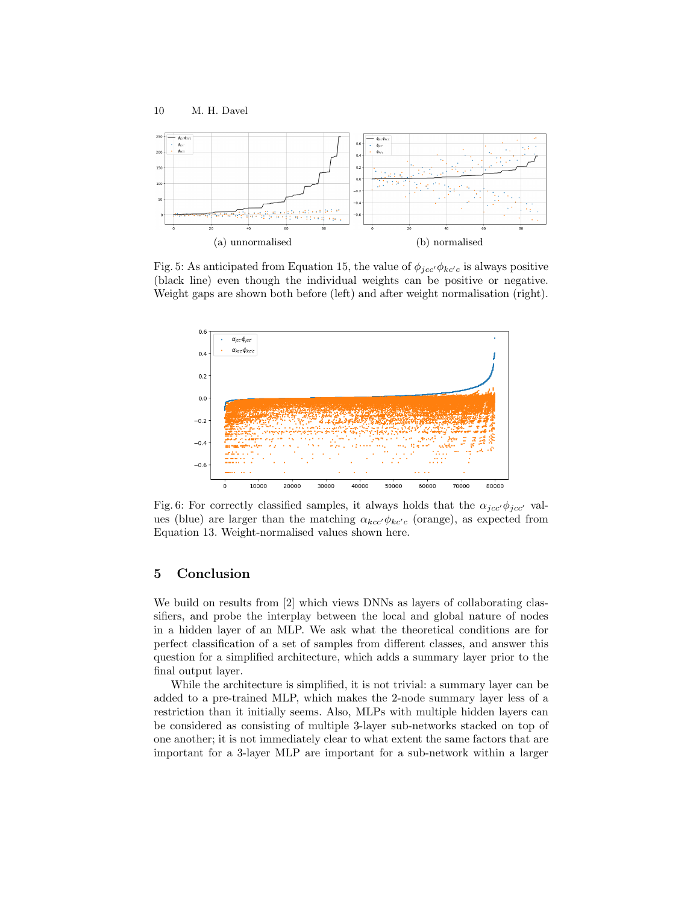

Fig. 5: As anticipated from Equation 15, the value of  $\phi_{\text{jcc'}}\phi_{\text{kc'}c}$  is always positive (black line) even though the individual weights can be positive or negative. Weight gaps are shown both before (left) and after weight normalisation (right).



Fig. 6: For correctly classified samples, it always holds that the  $\alpha_{jcc'}\phi_{jcc'}$  values (blue) are larger than the matching  $\alpha_{kcc'}\phi_{kc'c}$  (orange), as expected from Equation 13. Weight-normalised values shown here.

## 5 Conclusion

We build on results from [2] which views DNNs as layers of collaborating classifiers, and probe the interplay between the local and global nature of nodes in a hidden layer of an MLP. We ask what the theoretical conditions are for perfect classification of a set of samples from different classes, and answer this question for a simplified architecture, which adds a summary layer prior to the final output layer.

While the architecture is simplified, it is not trivial: a summary layer can be added to a pre-trained MLP, which makes the 2-node summary layer less of a restriction than it initially seems. Also, MLPs with multiple hidden layers can be considered as consisting of multiple 3-layer sub-networks stacked on top of one another; it is not immediately clear to what extent the same factors that are important for a 3-layer MLP are important for a sub-network within a larger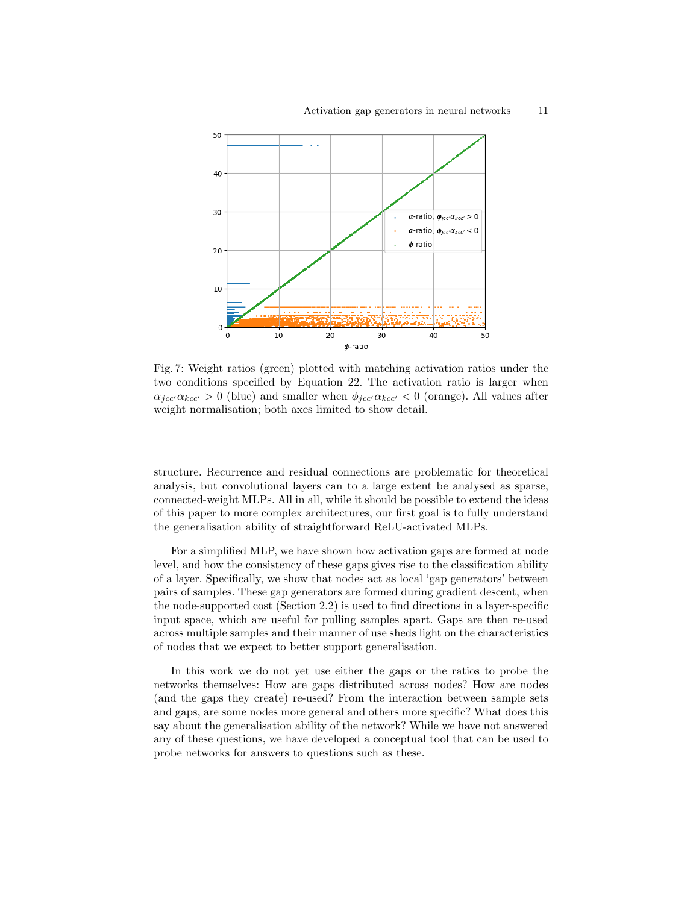

Fig. 7: Weight ratios (green) plotted with matching activation ratios under the two conditions specified by Equation 22. The activation ratio is larger when  $\alpha_{ic\alpha'}\alpha_{kcc'} > 0$  (blue) and smaller when  $\phi_{ic\alpha'}\alpha_{kcc'} < 0$  (orange). All values after weight normalisation; both axes limited to show detail.

structure. Recurrence and residual connections are problematic for theoretical analysis, but convolutional layers can to a large extent be analysed as sparse, connected-weight MLPs. All in all, while it should be possible to extend the ideas of this paper to more complex architectures, our first goal is to fully understand the generalisation ability of straightforward ReLU-activated MLPs.

For a simplified MLP, we have shown how activation gaps are formed at node level, and how the consistency of these gaps gives rise to the classification ability of a layer. Specifically, we show that nodes act as local 'gap generators' between pairs of samples. These gap generators are formed during gradient descent, when the node-supported cost (Section 2.2) is used to find directions in a layer-specific input space, which are useful for pulling samples apart. Gaps are then re-used across multiple samples and their manner of use sheds light on the characteristics of nodes that we expect to better support generalisation.

In this work we do not yet use either the gaps or the ratios to probe the networks themselves: How are gaps distributed across nodes? How are nodes (and the gaps they create) re-used? From the interaction between sample sets and gaps, are some nodes more general and others more specific? What does this say about the generalisation ability of the network? While we have not answered any of these questions, we have developed a conceptual tool that can be used to probe networks for answers to questions such as these.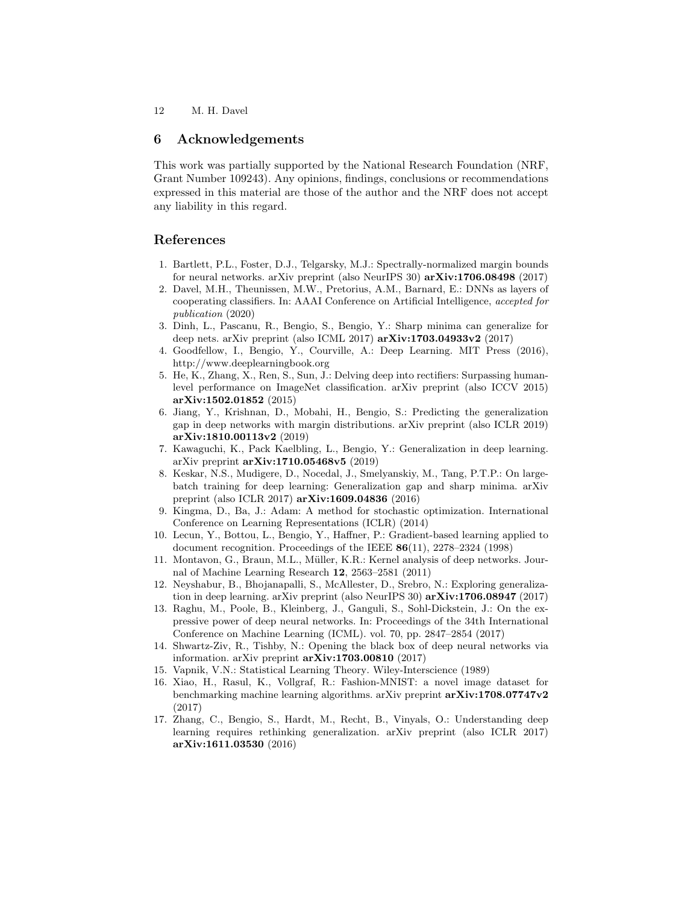## 6 Acknowledgements

This work was partially supported by the National Research Foundation (NRF, Grant Number 109243). Any opinions, findings, conclusions or recommendations expressed in this material are those of the author and the NRF does not accept any liability in this regard.

## References

- 1. Bartlett, P.L., Foster, D.J., Telgarsky, M.J.: Spectrally-normalized margin bounds for neural networks. arXiv preprint (also NeurIPS 30) arXiv:1706.08498 (2017)
- 2. Davel, M.H., Theunissen, M.W., Pretorius, A.M., Barnard, E.: DNNs as layers of cooperating classifiers. In: AAAI Conference on Artificial Intelligence, accepted for publication (2020)
- 3. Dinh, L., Pascanu, R., Bengio, S., Bengio, Y.: Sharp minima can generalize for deep nets. arXiv preprint (also ICML 2017) arXiv:1703.04933v2 (2017)
- 4. Goodfellow, I., Bengio, Y., Courville, A.: Deep Learning. MIT Press (2016), http://www.deeplearningbook.org
- 5. He, K., Zhang, X., Ren, S., Sun, J.: Delving deep into rectifiers: Surpassing humanlevel performance on ImageNet classification. arXiv preprint (also ICCV 2015) arXiv:1502.01852 (2015)
- 6. Jiang, Y., Krishnan, D., Mobahi, H., Bengio, S.: Predicting the generalization gap in deep networks with margin distributions. arXiv preprint (also ICLR 2019) arXiv:1810.00113v2 (2019)
- 7. Kawaguchi, K., Pack Kaelbling, L., Bengio, Y.: Generalization in deep learning. arXiv preprint arXiv:1710.05468v5 (2019)
- 8. Keskar, N.S., Mudigere, D., Nocedal, J., Smelyanskiy, M., Tang, P.T.P.: On largebatch training for deep learning: Generalization gap and sharp minima. arXiv preprint (also ICLR 2017) arXiv:1609.04836 (2016)
- 9. Kingma, D., Ba, J.: Adam: A method for stochastic optimization. International Conference on Learning Representations (ICLR) (2014)
- 10. Lecun, Y., Bottou, L., Bengio, Y., Haffner, P.: Gradient-based learning applied to document recognition. Proceedings of the IEEE 86(11), 2278–2324 (1998)
- 11. Montavon, G., Braun, M.L., M¨uller, K.R.: Kernel analysis of deep networks. Journal of Machine Learning Research 12, 2563–2581 (2011)
- 12. Neyshabur, B., Bhojanapalli, S., McAllester, D., Srebro, N.: Exploring generalization in deep learning. arXiv preprint (also NeurIPS 30) arXiv:1706.08947 (2017)
- 13. Raghu, M., Poole, B., Kleinberg, J., Ganguli, S., Sohl-Dickstein, J.: On the expressive power of deep neural networks. In: Proceedings of the 34th International Conference on Machine Learning (ICML). vol. 70, pp. 2847–2854 (2017)
- 14. Shwartz-Ziv, R., Tishby, N.: Opening the black box of deep neural networks via information. arXiv preprint  $arXiv:1703.00810$  (2017)
- 15. Vapnik, V.N.: Statistical Learning Theory. Wiley-Interscience (1989)
- 16. Xiao, H., Rasul, K., Vollgraf, R.: Fashion-MNIST: a novel image dataset for benchmarking machine learning algorithms. arXiv preprint arXiv:1708.07747v2 (2017)
- 17. Zhang, C., Bengio, S., Hardt, M., Recht, B., Vinyals, O.: Understanding deep learning requires rethinking generalization. arXiv preprint (also ICLR 2017) arXiv:1611.03530 (2016)